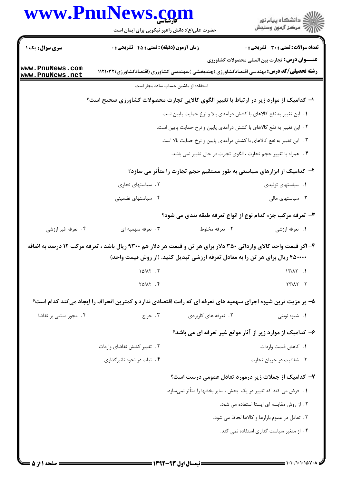|                                                                         | www.PnuNews.com                                  | حضرت علی(ع): دانش راهبر نیکویی برای ایمان است | ڪ دانشڪاه پيا <sub>م</sub> نور<br><mark>ر</mark> ⊽ مرڪز آزمون وسنڊش                                                                                                                                |  |
|-------------------------------------------------------------------------|--------------------------------------------------|-----------------------------------------------|----------------------------------------------------------------------------------------------------------------------------------------------------------------------------------------------------|--|
| سری سوال: یک ۱                                                          | <b>زمان آزمون (دقیقه) : تستی : 45 قشریحی : 0</b> |                                               | <b>تعداد سوالات : تستي : 30 ٪ تشريحي : 0</b>                                                                                                                                                       |  |
| www.PnuNews.com                                                         |                                                  |                                               | <b>عنـــوان درس:</b> تجارت بین المللی محصولات کشاورزی                                                                                                                                              |  |
| www.PnuNews.net                                                         |                                                  |                                               | <b>رشته تحصیلی/کد درس:</b> مهندسی اقتصادکشاورزی (چندبخشی )،مهندسی کشاورزی (اقتصادکشاورزی)۱۱۲۱۰۳۲                                                                                                   |  |
|                                                                         |                                                  | استفاده از ماشین حساب ساده مجاز است           |                                                                                                                                                                                                    |  |
|                                                                         |                                                  |                                               | ا- کدامیک از موارد زیر در ارتباط با تغییر الگوی کالایی تجارت محصولات کشاورزی صحیح است؟                                                                                                             |  |
|                                                                         |                                                  |                                               | ١. این تغییر به نفع کالاهای با کشش درآمدی بالا و نرخ حمایت پایین است.                                                                                                                              |  |
| ۲ . این تغییر به نفع کالاهای با کشش درآمدی پایین و نرخ حمایت پایین است. |                                                  |                                               |                                                                                                                                                                                                    |  |
| ۰۳ این تغییر به نفع کالاهای با کشش درآمدی پایین و نرخ حمایت بالا است.   |                                                  |                                               |                                                                                                                                                                                                    |  |
|                                                                         |                                                  |                                               | ۴ . همراه با تغییر حجم تجارت ، الگوی تجارت در حال تغییر نمی باشد.                                                                                                                                  |  |
|                                                                         |                                                  |                                               | ۲– کدامیک از ابزارهای سیاستی به طور مستقیم حجم تجارت را متأثر می سازد؟                                                                                                                             |  |
|                                                                         | ٢. سیاستهای تجاری                                |                                               | ٠١. سياستهاى توليدى                                                                                                                                                                                |  |
|                                                                         | ۰۴ سیاستهای تضمینی                               |                                               | ۰۳ سیاستهای مالی                                                                                                                                                                                   |  |
|                                                                         |                                                  |                                               | ۳- تعرفه مرکب جزء کدام نوع از انواع تعرفه طبقه بندی می شود؟                                                                                                                                        |  |
| ۰۴ تعرفه غیر ارزشی                                                      | ۰۳ تعرفه سهميه اي                                | ۰۲ تعرفه مخلوط                                | ۰۱ تعرفه ارزشي                                                                                                                                                                                     |  |
|                                                                         |                                                  |                                               | ۴– اگر قیمت واحد کالای وارداتی ۳۵۰ دلار برای هر تن و قیمت هر دلار هم ۹۳۰۰ ریال باشد ، تعرفه مرکب ۱۲ درصد به اضافه<br>۴۵۰۰۰۰ ریال برای هر تن را به معادل تعرفه ارزشی تبدیل کنید. (از روش قیمت واحد) |  |
|                                                                         | 10/XY.7                                          |                                               | 17/17.1                                                                                                                                                                                            |  |
|                                                                         | $Y\Delta/\lambda Y$ . $Y$                        |                                               | $YY/XY$ .                                                                                                                                                                                          |  |
|                                                                         |                                                  |                                               | ۵– پر مزیت ترین شیوه اجرای سهمیه های تعرفه ای که رانت اقتصادی ندارد و کمترین انحراف را ایجاد میکند کدام است؟                                                                                       |  |
| ۰۴ مجوز مبتنی بر تقاضا                                                  | ۰۳ حراج                                          | ٢. تعرفه های کاربردی                          | <b>۱.</b> شیوه نوبتی                                                                                                                                                                               |  |
|                                                                         |                                                  |                                               | ۶– کدامیک از موارد زیر از آثار موانع غیر تعرفه ای می باشد؟                                                                                                                                         |  |
| ۰۲ تغییر کشش تقاضای واردات<br>۰۴ ثبات در نحوه تاثیر گذاری               |                                                  |                                               | ٠١. كاهش قيمت واردات                                                                                                                                                                               |  |
|                                                                         |                                                  |                                               | ۰۳ شفافیت در جریان تجارت                                                                                                                                                                           |  |
|                                                                         |                                                  |                                               | ۷– کدامیک از جملات زیر درمورد تعادل عمومی درست است؟                                                                                                                                                |  |
|                                                                         |                                                  |                                               | <b>۱.</b> فرض می کند که تغییر در یک بخش ، سایر بخشها را متأثر نمی سازد.                                                                                                                            |  |
|                                                                         |                                                  |                                               | ۲. از روش مقایسه ای ایستا استفاده می شود.                                                                                                                                                          |  |
|                                                                         |                                                  |                                               |                                                                                                                                                                                                    |  |
|                                                                         |                                                  |                                               | ۰۳ تعادل در عموم بازارها و کالاها لحاظ می شود.                                                                                                                                                     |  |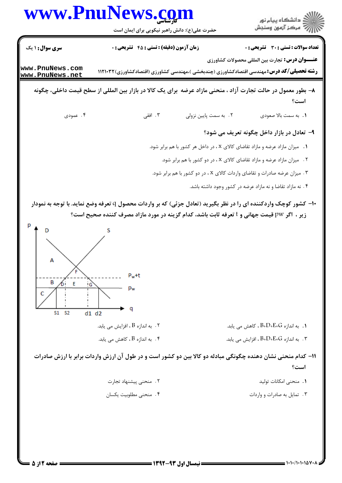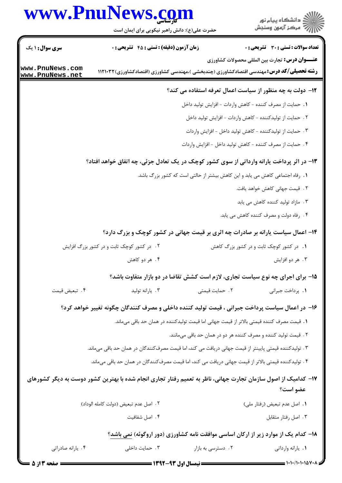## www.PnuNews.com

|                                    | www.PnuNews.com<br>حضرت علی(ع): دانش راهبر نیکویی برای ایمان است                                               | د<br>د انشڪاه پيام نور<br>- مرڪز آزمون وسنڊش                                                                                                                |  |
|------------------------------------|----------------------------------------------------------------------------------------------------------------|-------------------------------------------------------------------------------------------------------------------------------------------------------------|--|
| <b>سری سوال :</b> ۱ یک             | <b>زمان آزمون (دقیقه) : تستی : 45 گشریحی : 0</b>                                                               | تعداد سوالات : تستى : 30 - تشريحي : 0                                                                                                                       |  |
| www.PnuNews.com<br>www.PnuNews.net |                                                                                                                | <b>عنـــوان درس:</b> تجارت بین المللی محصولات کشاورزی<br><b>رشته تحصیلی/کد درس:</b> مهندسی اقتصادکشاورزی (چندبخشی )،مهندسی کشاورزی (اقتصادکشاورزی)۱۱۲۱۰۳۲ ( |  |
|                                    |                                                                                                                | ۱۲- دولت به چه منظور از سیاست اعمال تعرفه استفاده می کند؟                                                                                                   |  |
|                                    |                                                                                                                | 1. حمايت از مصرف كننده - كاهش واردات - افزايش توليد داخل                                                                                                    |  |
|                                    |                                                                                                                | ٢. حمايت از توليدكننده - كاهش واردات - افزايش توليد داخل                                                                                                    |  |
|                                    |                                                                                                                | ۳. حمایت از تولیدکننده - کاهش تولید داخل - افزایش واردات                                                                                                    |  |
|                                    |                                                                                                                | ۰۴ حمایت از مصرف کننده - کاهش تولید داخل - افزایش واردات                                                                                                    |  |
|                                    | ۱۳- در اثر پرداخت یارانه وارداتی از سوی کشور کوچک در یک تعادل جزئی، چه اتفاق خواهد افتاد؟                      |                                                                                                                                                             |  |
|                                    |                                                                                                                | 1. رفاه اجتماعی کاهش می یابد و این کاهش بیشتر از حالتی است که کشور بزرگ باشد.                                                                               |  |
|                                    |                                                                                                                | ٢. قيمت جهاني كاهش خواهد يافت.                                                                                                                              |  |
|                                    |                                                                                                                | ۰۳ مازاد تولید کننده کاهش می یابد                                                                                                                           |  |
|                                    |                                                                                                                | ۰۴ رفاه دولت و مصرف کننده کاهش می یابد.                                                                                                                     |  |
|                                    |                                                                                                                | ۱۴- اعمال سیاست یارانه بر صادرات چه اثری بر قیمت جهانی در کشور کوچک و بزرگ دارد؟                                                                            |  |
|                                    | ۲. در کشور کوچک ثابت و در کشور بزرگ افزایش                                                                     | ۰۱ در کشور کوچک ثابت و در کشور بزرگ کاهش                                                                                                                    |  |
|                                    | ۴. هر دو کاهش                                                                                                  | ۰۳ هر دو افزايش                                                                                                                                             |  |
|                                    |                                                                                                                | ۱۵- برای اجرای چه نوع سیاست تجاری، لازم است کشش تقاضا در دو بازار متفاوت باشد؟                                                                              |  |
| ۰۴ تبعيض قيمت                      | ۰۳ يارانه توليد                                                                                                | ۰۲ حمایت قیمتی<br>٠١. پرداخت جبراني                                                                                                                         |  |
|                                    | ۱۶– در اعمال سیاست پرداخت جبرانی ، قیمت تولید کننده داخلی و مصرف کنندگان چگونه تغییر خواهد کرد؟                |                                                                                                                                                             |  |
|                                    |                                                                                                                | 1. قیمت مصرف کننده قیمتی بالاتر از قیمت جهانی اما قیمت تولیدکننده در همان حد باقی میماند.                                                                   |  |
|                                    |                                                                                                                | ۲. قیمت تولید کننده و مصرف کننده هر دو در همان حد باقی میمانند.                                                                                             |  |
|                                    | ۰۳ تولیدکننده قیمتی پایینتر از قیمت جهانی دریافت می کند، اما قیمت مصرفکنندگان در همان حد باقی میماند.          |                                                                                                                                                             |  |
|                                    |                                                                                                                | ۰۴ تولیدکننده قیمتی بالاتر از قیمت جهانی دریافت می کند، اما قیمت مصرفکنندگان در همان حد باقی میماند.                                                        |  |
|                                    | ۱۷– کدامیک از اصول سازمان تجارت جهانی، ناظر به تعمیم رفتار تجاری انجام شده با بهترین کشور دوست به دیگر کشورهای | عضو است؟                                                                                                                                                    |  |
|                                    | ٢. اصل عدم تبعيض (دولت كامله الوداد)                                                                           | ٠١. اصل عدم تبعيض (رفتار ملي)                                                                                                                               |  |
|                                    | ۰۴ اصل شفافيت                                                                                                  | ٠٣ اصل رفتار متقابل                                                                                                                                         |  |
|                                    |                                                                                                                | ۱۸– کدام یک از موارد زیر از ارکان اساسی موافقت نامه کشاورزی (دور اروگوئه) نمی باشد؟                                                                         |  |
| ۰۴ یارانه صادراتی                  | ۰۳ حمایت داخلی                                                                                                 | ۰۲ دسترسی به بازار<br>٠١. يارانه وارداتي                                                                                                                    |  |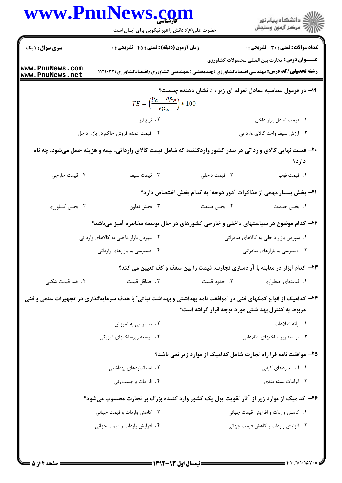|                                    | www.PnuNews.com                                                                                                 |                                                  | ِ<br>∭ دانشڪاه پيام نور<br>∭ مرڪز آزمون وسنڊش                          |
|------------------------------------|-----------------------------------------------------------------------------------------------------------------|--------------------------------------------------|------------------------------------------------------------------------|
|                                    | حضرت علی(ع): دانش راهبر نیکویی برای ایمان است                                                                   |                                                  |                                                                        |
| <b>سری سوال : ۱ یک</b>             | زمان آزمون (دقیقه) : تستی : 45 آتشریحی : 0                                                                      |                                                  | تعداد سوالات : تستي : 30 ٪ تشريحي : 0                                  |
| www.PnuNews.com<br>www.PnuNews.net | <b>رشته تحصیلی/کد درس:</b> مهندسی اقتصادکشاورزی (چندبخشی )،مهندسی کشاورزی (اقتصادکشاورزی)۱۱۲۱۰۳۲ (              |                                                  | <b>عنـــوان درس:</b> تجارت بین المللی محصولات کشاورزی                  |
|                                    |                                                                                                                 |                                                  | ۱۹- در فرمول محاسبه معادل تعرفه ای زیر ، <sup>ع</sup> نشان دهنده چیست؟ |
|                                    | $TE = \left(\frac{p_d - ep_w}{ep_w}\right) * 100$                                                               |                                                  |                                                                        |
|                                    | ۰۲ نرخ ارز                                                                                                      |                                                  | ٠١ قيمت تعادل بازار داخل                                               |
|                                    | ۰۴ قیمت عمده فروش حاکم در بازار داخل                                                                            |                                                  | ۰۳ ارزش سیف واحد کالای وارداتی                                         |
|                                    | +۲- قیمت نهایی کالای وارداتی در بندر کشور واردکننده که شامل قیمت کالای وارداتی، بیمه و هزینه حمل میشود، چه نام  |                                                  |                                                                        |
|                                    |                                                                                                                 |                                                  | دارد؟                                                                  |
| ۰۴ قیمت خارجی                      | ٠٣ قيمت سيف                                                                                                     | ٠٢ قيمت داخلي                                    | 1. قيمت فوب                                                            |
|                                    |                                                                                                                 |                                                  | ۲۱– بخش بسیار مهمی از مذاکرات آدور دوحه ّ به کدام بخش اختصاص دارد؟     |
| ۰۴ بخش کشاورزی                     | ۰۳ بخش تعاون                                                                                                    | ٠٢ بخش صنعت                                      | ٠١. بخش خدمات                                                          |
|                                    | ۲۲– کدام موضوع در سیاستهای داخلی و خارجی کشورهای در حال توسعه مخاطره آمیز میباشد؟                               |                                                  |                                                                        |
|                                    | ۲ . سپردن بازار داخلی به کالاهای وارداتی                                                                        |                                                  | ۰۱ سپردن بازار داخلی به کالاهای صادراتی                                |
|                                    | ۰۴ دسترسی به بازارهای وارداتی                                                                                   |                                                  | ۰۳ دسترسی به بازارهای صادراتی                                          |
|                                    | ۲۳- کدام ابزار در مقابله با آزادسازی تجارت، قیمت را بین سقف و کف تعیین می کند؟                                  |                                                  |                                                                        |
| ۰۴ ضد قیمت شکنی                    | ۰۳ حداقل قیمت                                                                                                   | ۰۲ حدود قیمت                                     | ۰۱ قیمتهای اضطراری                                                     |
|                                    | ۲۴- کدامیک از انواع کمکهای فنی در "موافقت نامه بهداشتی و بهداشت نباتی" با هدف سرمایهگذاری در تجهیزات علمی و فنی |                                                  |                                                                        |
|                                    |                                                                                                                 | مربوط به کنترل بهداشتی مورد توجه قرار گرفته است؟ |                                                                        |
|                                    | ۰۲ دسترسی به آموزش                                                                                              |                                                  | 1. ارائه اطلاعات                                                       |
|                                    | ۰۴ توسعه زيرساختهاي فيزيكي                                                                                      |                                                  | ۰۳ توسعه زیر ساختهای اطلاعاتی                                          |
|                                    |                                                                                                                 |                                                  | ۲۵– موافقت نامه فرا راه تجارت شامل کدامیک از موارد زیر نمی باشد؟       |
|                                    | ۲ . استانداردهای بهداشتی                                                                                        |                                                  | 1. استانداردهای کیفی                                                   |
|                                    | ۰۴ الزامات برچسب زنی                                                                                            |                                                  | ۰۳ الزامات بسته بندی                                                   |
|                                    | ۲۶- کدامیک از موارد زیر از آثار تقویت پول یک کشور وارد کننده بزرگ بر تجارت محسوب میشود؟                         |                                                  |                                                                        |
|                                    | ۰۲ کاهش واردات و قیمت جهانی                                                                                     |                                                  | ٠١. كاهش واردات وافزايش قيمت جهانى                                     |
|                                    | ۰۴ افزایش واردات و قیمت جهانی                                                                                   |                                                  | ٠٣ افزايش واردات وكاهش قيمت جهاني                                      |